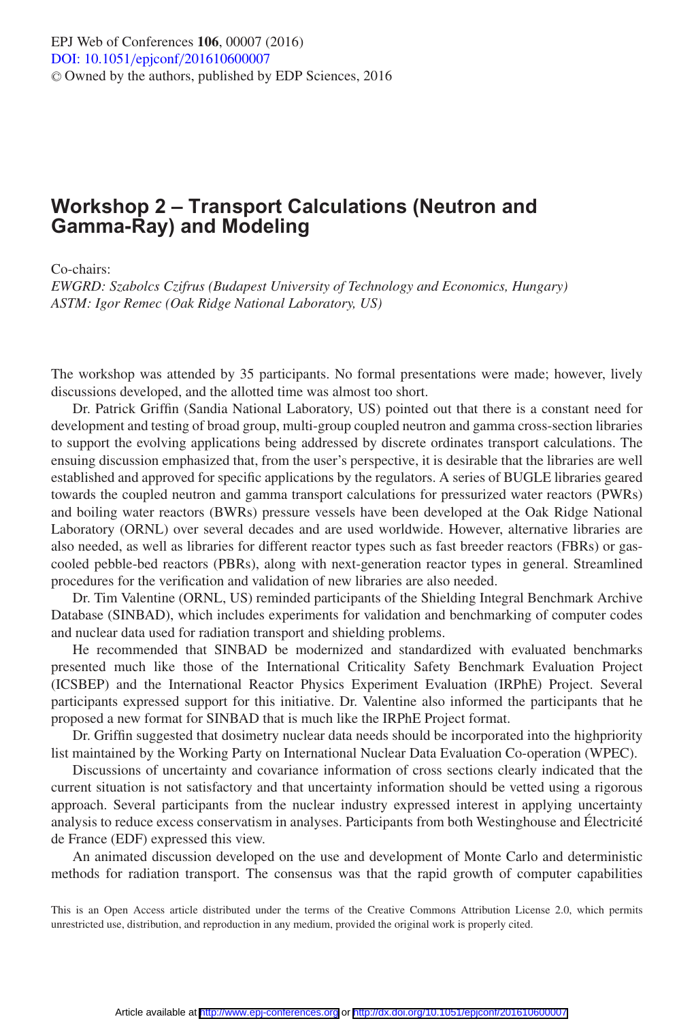## **Workshop 2 – Transport Calculations (Neutron and Gamma-Ray) and Modeling**

Co-chairs:

*EWGRD: Szabolcs Czifrus (Budapest University of Technology and Economics, Hungary) ASTM: Igor Remec (Oak Ridge National Laboratory, US)*

The workshop was attended by 35 participants. No formal presentations were made; however, lively discussions developed, and the allotted time was almost too short.

Dr. Patrick Griffin (Sandia National Laboratory, US) pointed out that there is a constant need for development and testing of broad group, multi-group coupled neutron and gamma cross-section libraries to support the evolving applications being addressed by discrete ordinates transport calculations. The ensuing discussion emphasized that, from the user's perspective, it is desirable that the libraries are well established and approved for specific applications by the regulators. A series of BUGLE libraries geared towards the coupled neutron and gamma transport calculations for pressurized water reactors (PWRs) and boiling water reactors (BWRs) pressure vessels have been developed at the Oak Ridge National Laboratory (ORNL) over several decades and are used worldwide. However, alternative libraries are also needed, as well as libraries for different reactor types such as fast breeder reactors (FBRs) or gascooled pebble-bed reactors (PBRs), along with next-generation reactor types in general. Streamlined procedures for the verification and validation of new libraries are also needed.

Dr. Tim Valentine (ORNL, US) reminded participants of the Shielding Integral Benchmark Archive Database (SINBAD), which includes experiments for validation and benchmarking of computer codes and nuclear data used for radiation transport and shielding problems.

He recommended that SINBAD be modernized and standardized with evaluated benchmarks presented much like those of the International Criticality Safety Benchmark Evaluation Project (ICSBEP) and the International Reactor Physics Experiment Evaluation (IRPhE) Project. Several participants expressed support for this initiative. Dr. Valentine also informed the participants that he proposed a new format for SINBAD that is much like the IRPhE Project format.

Dr. Griffin suggested that dosimetry nuclear data needs should be incorporated into the highpriority list maintained by the Working Party on International Nuclear Data Evaluation Co-operation (WPEC).

Discussions of uncertainty and covariance information of cross sections clearly indicated that the current situation is not satisfactory and that uncertainty information should be vetted using a rigorous approach. Several participants from the nuclear industry expressed interest in applying uncertainty analysis to reduce excess conservatism in analyses. Participants from both Westinghouse and Électricité de France (EDF) expressed this view.

An animated discussion developed on the use and development of Monte Carlo and deterministic methods for radiation transport. The consensus was that the rapid growth of computer capabilities

This is an Open Access article distributed under the terms of the Creative Commons Attribution License 2.0, which permits unrestricted use, distribution, and reproduction in any medium, provided the original work is properly cited.